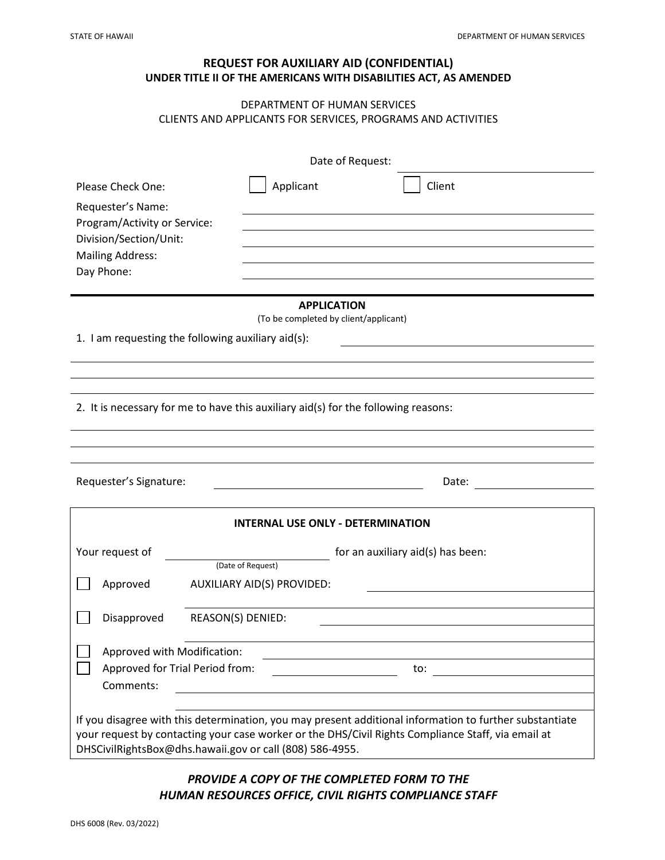# **REQUEST FOR AUXILIARY AID (CONFIDENTIAL) UNDER TITLE II OF THE AMERICANS WITH DISABILITIES ACT, AS AMENDED**

### DEPARTMENT OF HUMAN SERVICES CLIENTS AND APPLICANTS FOR SERVICES, PROGRAMS AND ACTIVITIES

| Date of Request:                                                                                                                                                                                              |                                 |                                          |                                   |        |
|---------------------------------------------------------------------------------------------------------------------------------------------------------------------------------------------------------------|---------------------------------|------------------------------------------|-----------------------------------|--------|
| Please Check One:                                                                                                                                                                                             |                                 | Applicant                                |                                   | Client |
| Requester's Name:<br>Program/Activity or Service:<br>Division/Section/Unit:<br><b>Mailing Address:</b><br>Day Phone:                                                                                          |                                 |                                          |                                   |        |
|                                                                                                                                                                                                               |                                 |                                          |                                   |        |
|                                                                                                                                                                                                               |                                 |                                          |                                   |        |
|                                                                                                                                                                                                               |                                 |                                          |                                   |        |
|                                                                                                                                                                                                               |                                 |                                          |                                   |        |
|                                                                                                                                                                                                               |                                 |                                          | <b>APPLICATION</b>                |        |
| (To be completed by client/applicant)                                                                                                                                                                         |                                 |                                          |                                   |        |
| 1. I am requesting the following auxiliary aid(s):                                                                                                                                                            |                                 |                                          |                                   |        |
|                                                                                                                                                                                                               |                                 |                                          |                                   |        |
|                                                                                                                                                                                                               |                                 |                                          |                                   |        |
| 2. It is necessary for me to have this auxiliary aid(s) for the following reasons:                                                                                                                            |                                 |                                          |                                   |        |
|                                                                                                                                                                                                               |                                 |                                          |                                   |        |
|                                                                                                                                                                                                               |                                 |                                          |                                   |        |
|                                                                                                                                                                                                               |                                 |                                          |                                   |        |
| Requester's Signature:                                                                                                                                                                                        |                                 |                                          |                                   | Date:  |
|                                                                                                                                                                                                               |                                 |                                          |                                   |        |
|                                                                                                                                                                                                               |                                 | <b>INTERNAL USE ONLY - DETERMINATION</b> |                                   |        |
| Your request of                                                                                                                                                                                               |                                 |                                          | for an auxiliary aid(s) has been: |        |
|                                                                                                                                                                                                               |                                 | (Date of Request)                        |                                   |        |
| Approved                                                                                                                                                                                                      |                                 | AUXILIARY AID(S) PROVIDED:               |                                   |        |
| Disapproved                                                                                                                                                                                                   | REASON(S) DENIED:               |                                          |                                   |        |
|                                                                                                                                                                                                               |                                 |                                          |                                   |        |
| Approved with Modification:                                                                                                                                                                                   |                                 |                                          |                                   |        |
|                                                                                                                                                                                                               | Approved for Trial Period from: |                                          |                                   | to:    |
| Comments:                                                                                                                                                                                                     |                                 |                                          |                                   |        |
|                                                                                                                                                                                                               |                                 |                                          |                                   |        |
| If you disagree with this determination, you may present additional information to further substantiate<br>your request by contacting your case worker or the DHS/Civil Rights Compliance Staff, via email at |                                 |                                          |                                   |        |
| DHSCivilRightsBox@dhs.hawaii.gov or call (808) 586-4955.                                                                                                                                                      |                                 |                                          |                                   |        |

# *PROVIDE A COPY OF THE COMPLETED FORM TO THE HUMAN RESOURCES OFFICE, CIVIL RIGHTS COMPLIANCE STAFF*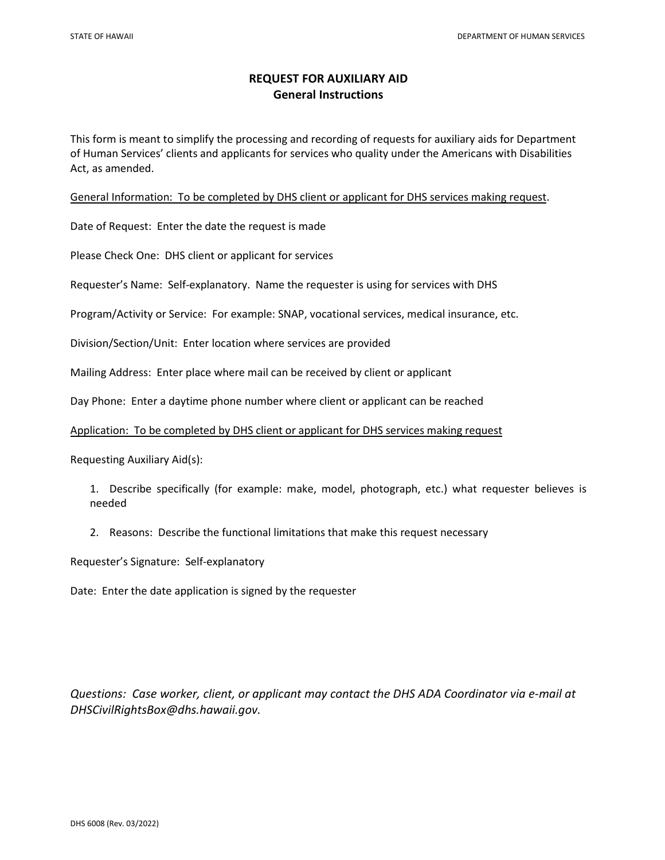## **REQUEST FOR AUXILIARY AID General Instructions**

This form is meant to simplify the processing and recording of requests for auxiliary aids for Department of Human Services' clients and applicants for services who quality under the Americans with Disabilities Act, as amended.

General Information: To be completed by DHS client or applicant for DHS services making request.

Date of Request:Enter the date the request is made

Please Check One:DHS client or applicant for services

Requester's Name: Self-explanatory. Name the requester is using for services with DHS

Program/Activity or Service: For example: SNAP, vocational services, medical insurance, etc.

Division/Section/Unit: Enter location where services are provided

Mailing Address: Enter place where mail can be received by client or applicant

Day Phone: Enter a daytime phone number where client or applicant can be reached

#### Application: To be completed by DHS client or applicant for DHS services making request

Requesting Auxiliary Aid(s):

- 1. Describe specifically (for example: make, model, photograph, etc.) what requester believes is needed
- 2. Reasons: Describe the functional limitations that make this request necessary

Requester's Signature: Self-explanatory

Date: Enter the date application is signed by the requester

*Questions: Case worker, client, or applicant may contact the DHS ADA Coordinator via e-mail at DHSCivilRightsBox@dhs.hawaii.gov.*